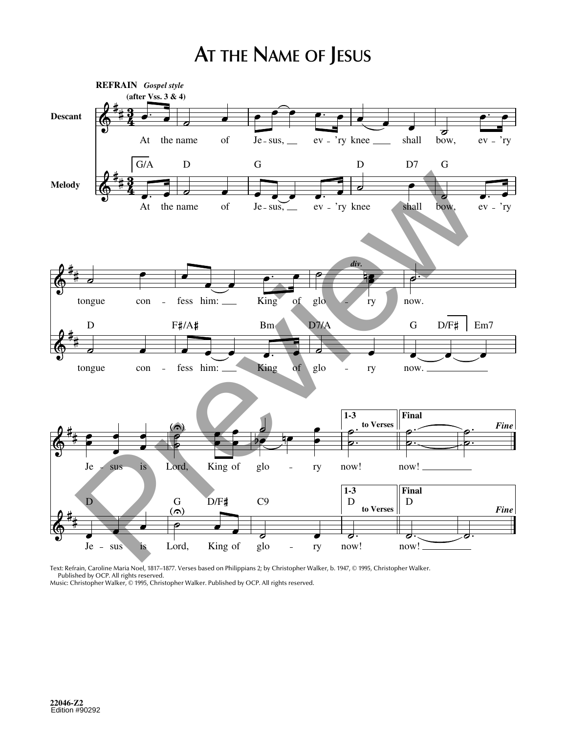## **AT THE NAME OF JESUS**



Text: Refrain, Caroline Maria Noel, 1817–1877. Verses based on Philippians 2; by Christopher Walker, b. 1947, © 1995, Christopher Walker. Published by OCP. All rights reserved. Music: Christopher Walker, © 1995, Christopher Walker. Published by OCP. All rights reserved.